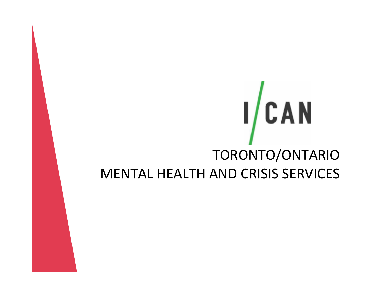## $1/CAN$ TORONTO/ONTARIO MENTAL HEALTH AND CRISIS SERVICES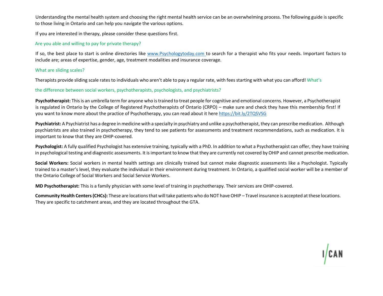Understanding the mental health system and choosing the right mental health service can be an overwhelming process. The following guide is specific to those living in Ontario and can help you navigate the various options.

If you are interested in therapy, please consider these questions first.

## Are you able and willing to pay for private therapy?

If so, the best place to start is online directories like www.Psychologytoday.com to search for a therapist who fits your needs. Important factors to include are; areas of expertise, gender, age, treatment modalities and insurance coverage.

## What are sliding scales?

Therapists provide sliding scale rates to individuals who aren't able to pay a regular rate, with fees starting with what you can afford! What's

the difference between social workers, psychotherapists, psychologists, and psychiatrists?

**Psychotherapist:** This is an umbrella term for anyone who is trained to treat people for cognitive and emotional concerns. However, a Psychotherapist is regulated in Ontario by the College of Registered Psychotherapists of Ontario (CRPO) – make sure and check they have this membership first! If you want to know more about the practice of Psychotherapy, you can read about it here https://bit.ly/2TQSVSG

**Psychiatrist:** A Psychiatrist has a degree in medicine with a specialty in psychiatry and unlike a psychotherapist, they can prescribe medication. Although psychiatrists are also trained in psychotherapy, they tend to see patients for assessments and treatment recommendations, such as medication. It is important to know that they are OHIP-covered.

**Psychologist:** A fully qualified Psychologist has extensive training, typically with a PhD. In addition to what a Psychotherapist can offer, they have training in psychological testing and diagnostic assessments. It is important to know that they are currently not covered by OHIP and cannot prescribe medication.

**Social Workers:** Social workers in mental health settings are clinically trained but cannot make diagnostic assessments like a Psychologist. Typically trained to a master's level, they evaluate the individual in their environment during treatment. In Ontario, a qualified social worker will be a member of the Ontario College of Social Workers and Social Service Workers.

**MD Psychotherapist:** This is a family physician with some level of training in psychotherapy. Their services are OHIP-covered.

**Community Health Centers (CHCs):** These are locations that will take patients who do NOT have OHIP – Travel insurance is accepted at these locations. They are specific to catchment areas, and they are located throughout the GTA.

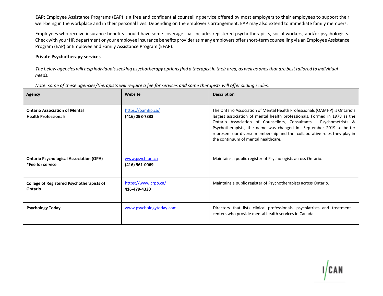**EAP:** Employee Assistance Programs (EAP) is a free and confidential counselling service offered by most employers to their employees to support their well-being in the workplace and in their personal lives. Depending on the employer's arrangement, EAP may also extend to immediate family members.

Employees who receive insurance benefits should have some coverage that includes registered psychotherapists, social workers, and/or psychologists. Check with your HR department or your employee insurance benefits provider as many employers offer short-term counselling via an Employee Assistance Program (EAP) or Employee and Family Assistance Program (EFAP).

## **Private Psychotherapy services**

*The below agencies will help individuals seeking psychotherapy options find a therapist in their area, as well as ones that are best tailored to individual needs.* 

| <b>Agency</b>                                                       | Website                              | <b>Description</b>                                                                                                                                                                                                                                                                                                                                                                                                         |
|---------------------------------------------------------------------|--------------------------------------|----------------------------------------------------------------------------------------------------------------------------------------------------------------------------------------------------------------------------------------------------------------------------------------------------------------------------------------------------------------------------------------------------------------------------|
| <b>Ontario Association of Mental</b><br><b>Health Professionals</b> | https://oamhp.ca/<br>(416) 298-7333  | The Ontario Association of Mental Health Professionals (OAMHP) is Ontario's<br>largest association of mental health professionals. Formed in 1978 as the<br>Ontario Association of Counsellors, Consultants,<br>Psychometrists &<br>Psychotherapists, the name was changed in September 2019 to better<br>represent our diverse membership and the collaborative roles they play in<br>the continuum of mental healthcare. |
| <b>Ontario Psychological Association (OPA)</b><br>*Fee for service  | www.psych.on.ca<br>(416) 961-0069    | Maintains a public register of Psychologists across Ontario.                                                                                                                                                                                                                                                                                                                                                               |
| <b>College of Registered Psychotherapists of</b><br>Ontario         | https://www.crpo.ca/<br>416-479-4330 | Maintains a public register of Psychotherapists across Ontario.                                                                                                                                                                                                                                                                                                                                                            |
| <b>Psychology Today</b>                                             | www.psychologytoday.com              | Directory that lists clinical professionals, psychiatrists and treatment<br>centers who provide mental health services in Canada.                                                                                                                                                                                                                                                                                          |

*Note: some of these agencies/therapists will require a fee for services and some therapists will offer sliding scales.*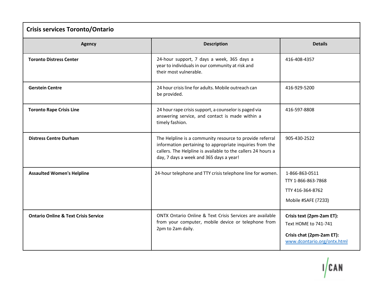| <b>Crisis services Toronto/Ontario</b>          |                                                                                                                                                                                                                                 |                                                                                                               |  |  |
|-------------------------------------------------|---------------------------------------------------------------------------------------------------------------------------------------------------------------------------------------------------------------------------------|---------------------------------------------------------------------------------------------------------------|--|--|
| <b>Agency</b>                                   | <b>Description</b>                                                                                                                                                                                                              | <b>Details</b>                                                                                                |  |  |
| <b>Toronto Distress Center</b>                  | 24-hour support, 7 days a week, 365 days a<br>year to individuals in our community at risk and<br>their most vulnerable.                                                                                                        | 416-408-4357                                                                                                  |  |  |
| <b>Gerstein Centre</b>                          | 24 hour crisis line for adults. Mobile outreach can<br>be provided.                                                                                                                                                             | 416-929-5200                                                                                                  |  |  |
| <b>Toronto Rape Crisis Line</b>                 | 24 hour rape crisis support, a counselor is paged via<br>answering service, and contact is made within a<br>timely fashion.                                                                                                     | 416-597-8808                                                                                                  |  |  |
| <b>Distress Centre Durham</b>                   | The Helpline is a community resource to provide referral<br>information pertaining to appropriate inquiries from the<br>callers. The Helpline is available to the callers 24 hours a<br>day, 7 days a week and 365 days a year! | 905-430-2522                                                                                                  |  |  |
| <b>Assaulted Women's Helpline</b>               | 24-hour telephone and TTY crisis telephone line for women.                                                                                                                                                                      | 1-866-863-0511<br>TTY 1-866-863-7868<br>TTY 416-364-8762<br>Mobile #SAFE (7233)                               |  |  |
| <b>Ontario Online &amp; Text Crisis Service</b> | ONTX Ontario Online & Text Crisis Services are available<br>from your computer, mobile device or telephone from<br>2pm to 2am daily.                                                                                            | Crisis text (2pm-2am ET):<br>Text HOME to 741-741<br>Crisis chat (2pm-2am ET):<br>www.dcontario.org/ontx.html |  |  |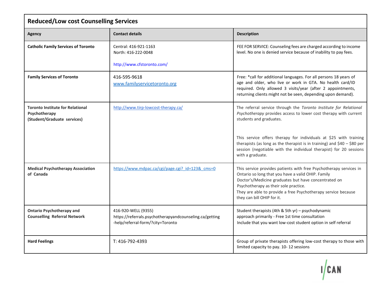| <b>Reduced/Low cost Counselling Services</b>                                            |                                                                                                                     |                                                                                                                                                                                                                                                                                                                                                                                                             |  |  |
|-----------------------------------------------------------------------------------------|---------------------------------------------------------------------------------------------------------------------|-------------------------------------------------------------------------------------------------------------------------------------------------------------------------------------------------------------------------------------------------------------------------------------------------------------------------------------------------------------------------------------------------------------|--|--|
| <b>Agency</b>                                                                           | <b>Contact details</b>                                                                                              | <b>Description</b>                                                                                                                                                                                                                                                                                                                                                                                          |  |  |
| <b>Catholic Family Services of Toronto</b>                                              | Central: 416-921-1163<br>North: 416-222-0048<br>http://www.cfstoronto.com/                                          | FEE FOR SERVICE: Counseling fees are charged according to income<br>level. No one is denied service because of inability to pay fees.                                                                                                                                                                                                                                                                       |  |  |
| <b>Family Services of Toronto</b>                                                       | 416-595-9618<br>www.familyservicetoronto.org                                                                        | Free: *call for additional languages. For all persons 18 years of<br>age and older, who live or work in GTA. No health card/ID<br>required. Only allowed 3 visits/year (after 2 appointments,<br>returning clients might not be seen, depending upon demand).                                                                                                                                               |  |  |
| <b>Toronto Institute for Relational</b><br>Psychotherapy<br>(Student/Graduate services) | http://www.tirp-lowcost-therapy.ca/                                                                                 | The referral service through the Toronto Institute for Relational<br>Psychotherapy provides access to lower cost therapy with current<br>students and graduates.<br>This service offers therapy for individuals at \$25 with training<br>therapists (as long as the therapist is in training) and $$40 - $80$ per<br>session (negotiable with the individual therapist) for 20 sessions<br>with a graduate. |  |  |
| <b>Medical Psychotherapy Association</b><br>of Canada                                   | https://www.mdpac.ca/cgi/page.cgi? id=123& cms=0                                                                    | This service provides patients with free Psychotherapy services in<br>Ontario so long that you have a valid OHIP. Family<br>Doctor's/Medicine graduates but have concentrated on<br>Psychotherapy as their sole practice.<br>They are able to provide a free Psychotherapy service because<br>they can bill OHIP for it.                                                                                    |  |  |
| <b>Ontario Psychotherapy and</b><br><b>Counselling Referral Network</b>                 | 416-920-WELL (9355)<br>https://referrals.psychotherapyandcounseling.ca/getting<br>-help/referral-form/?city=Toronto | Student therapists (4th & 5th yr) - psychodynamic<br>approach primarily - Free 1st time consultation<br>Include that you want low-cost student option in self referral                                                                                                                                                                                                                                      |  |  |
| <b>Hard Feelings</b>                                                                    | T: 416-792-4393                                                                                                     | Group of private therapists offering low-cost therapy to those with<br>limited capacity to pay. 10-12 sessions                                                                                                                                                                                                                                                                                              |  |  |